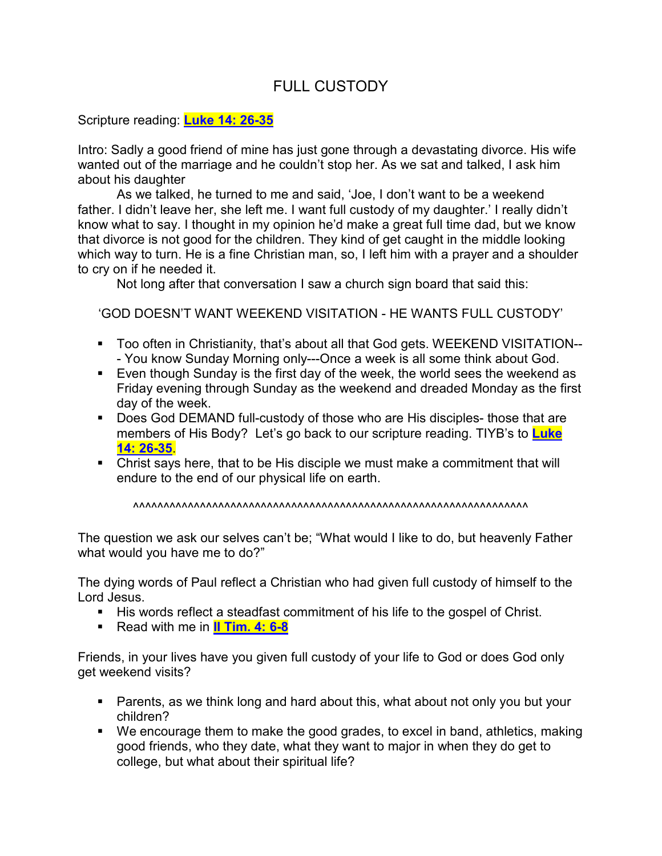## FULL CUSTODY

## Scripture reading: **Luke 14: 26-35**

Intro: Sadly a good friend of mine has just gone through a devastating divorce. His wife wanted out of the marriage and he couldn't stop her. As we sat and talked, I ask him about his daughter

 As we talked, he turned to me and said, 'Joe, I don't want to be a weekend father. I didn't leave her, she left me. I want full custody of my daughter.' I really didn't know what to say. I thought in my opinion he'd make a great full time dad, but we know that divorce is not good for the children. They kind of get caught in the middle looking which way to turn. He is a fine Christian man, so, I left him with a prayer and a shoulder to cry on if he needed it.

Not long after that conversation I saw a church sign board that said this:

'GOD DOESN'T WANT WEEKEND VISITATION - HE WANTS FULL CUSTODY'

- Too often in Christianity, that's about all that God gets. WEEKEND VISITATION-- - You know Sunday Morning only---Once a week is all some think about God.
- Even though Sunday is the first day of the week, the world sees the weekend as Friday evening through Sunday as the weekend and dreaded Monday as the first day of the week.
- Does God DEMAND full-custody of those who are His disciples- those that are members of His Body? Let's go back to our scripture reading. TIYB's to **Luke 14: 26-35**.
- Christ says here, that to be His disciple we must make a commitment that will endure to the end of our physical life on earth.

^^^^^^^^^^^^^^^^^^^^^^^^^^^^^^^^^^^^^^^^^^^^^^^^^^^^^^^^^^^^^^^^^

The question we ask our selves can't be; "What would I like to do, but heavenly Father what would you have me to do?"

The dying words of Paul reflect a Christian who had given full custody of himself to the Lord Jesus.

- His words reflect a steadfast commitment of his life to the gospel of Christ.
- **Read with me in II Tim. 4: 6-8**

Friends, in your lives have you given full custody of your life to God or does God only get weekend visits?

- Parents, as we think long and hard about this, what about not only you but your children?
- We encourage them to make the good grades, to excel in band, athletics, making good friends, who they date, what they want to major in when they do get to college, but what about their spiritual life?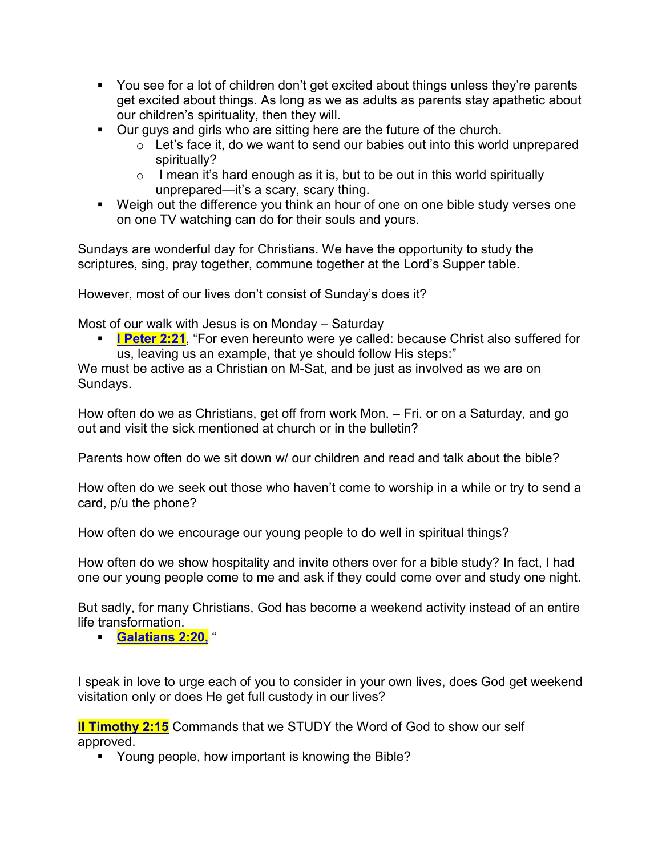- You see for a lot of children don't get excited about things unless they're parents get excited about things. As long as we as adults as parents stay apathetic about our children's spirituality, then they will.
- Our guys and girls who are sitting here are the future of the church.
	- $\circ$  Let's face it, do we want to send our babies out into this world unprepared spiritually?
	- $\circ$  I mean it's hard enough as it is, but to be out in this world spiritually unprepared—it's a scary, scary thing.
- Weigh out the difference you think an hour of one on one bible study verses one on one TV watching can do for their souls and yours.

Sundays are wonderful day for Christians. We have the opportunity to study the scriptures, sing, pray together, commune together at the Lord's Supper table.

However, most of our lives don't consist of Sunday's does it?

Most of our walk with Jesus is on Monday – Saturday

**I Peter 2:21**, "For even hereunto were ye called: because Christ also suffered for us, leaving us an example, that ye should follow His steps:"

We must be active as a Christian on M-Sat, and be just as involved as we are on Sundays.

How often do we as Christians, get off from work Mon. – Fri. or on a Saturday, and go out and visit the sick mentioned at church or in the bulletin?

Parents how often do we sit down w/ our children and read and talk about the bible?

How often do we seek out those who haven't come to worship in a while or try to send a card, p/u the phone?

How often do we encourage our young people to do well in spiritual things?

How often do we show hospitality and invite others over for a bible study? In fact, I had one our young people come to me and ask if they could come over and study one night.

But sadly, for many Christians, God has become a weekend activity instead of an entire life transformation.

**Galatians 2:20,** "

I speak in love to urge each of you to consider in your own lives, does God get weekend visitation only or does He get full custody in our lives?

**II Timothy 2:15** Commands that we STUDY the Word of God to show our self approved.

Young people, how important is knowing the Bible?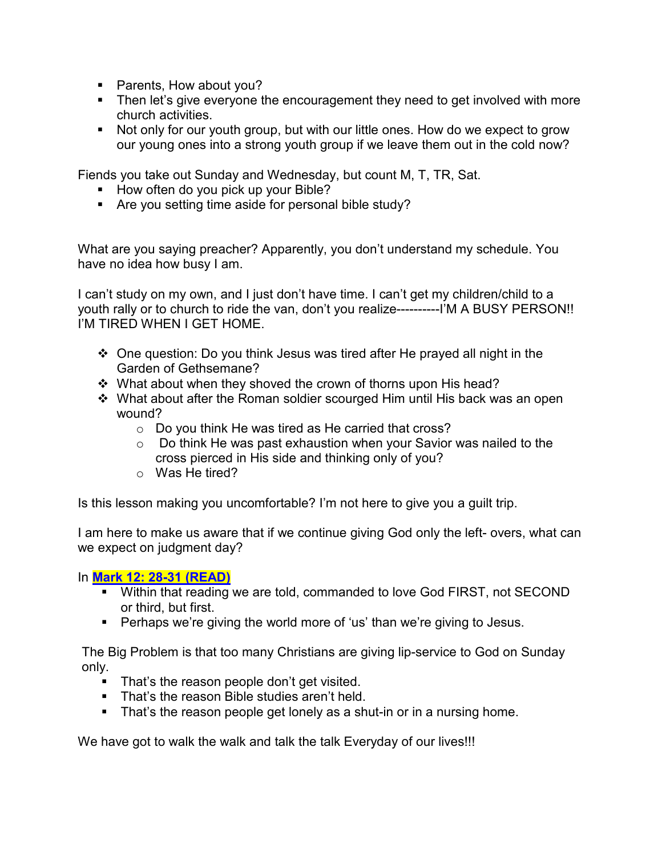- Parents, How about you?
- **Then let's give everyone the encouragement they need to get involved with more** church activities.
- Not only for our youth group, but with our little ones. How do we expect to grow our young ones into a strong youth group if we leave them out in the cold now?

Fiends you take out Sunday and Wednesday, but count M, T, TR, Sat.

- How often do you pick up your Bible?
- Are you setting time aside for personal bible study?

What are you saying preacher? Apparently, you don't understand my schedule. You have no idea how busy I am.

I can't study on my own, and I just don't have time. I can't get my children/child to a youth rally or to church to ride the van, don't you realize----------I'M A BUSY PERSON!! I'M TIRED WHEN I GET HOME.

- One question: Do you think Jesus was tired after He prayed all night in the Garden of Gethsemane?
- \* What about when they shoved the crown of thorns upon His head?
- What about after the Roman soldier scourged Him until His back was an open wound?
	- o Do you think He was tired as He carried that cross?
	- $\circ$  Do think He was past exhaustion when your Savior was nailed to the cross pierced in His side and thinking only of you?
	- o Was He tired?

Is this lesson making you uncomfortable? I'm not here to give you a guilt trip.

I am here to make us aware that if we continue giving God only the left- overs, what can we expect on judgment day?

## In **Mark 12: 28-31 (READ)**

- Within that reading we are told, commanded to love God FIRST, not SECOND or third, but first.
- Perhaps we're giving the world more of 'us' than we're giving to Jesus.

The Big Problem is that too many Christians are giving lip-service to God on Sunday only.

- That's the reason people don't get visited.
- That's the reason Bible studies aren't held.
- That's the reason people get lonely as a shut-in or in a nursing home.

We have got to walk the walk and talk the talk Everyday of our lives!!!